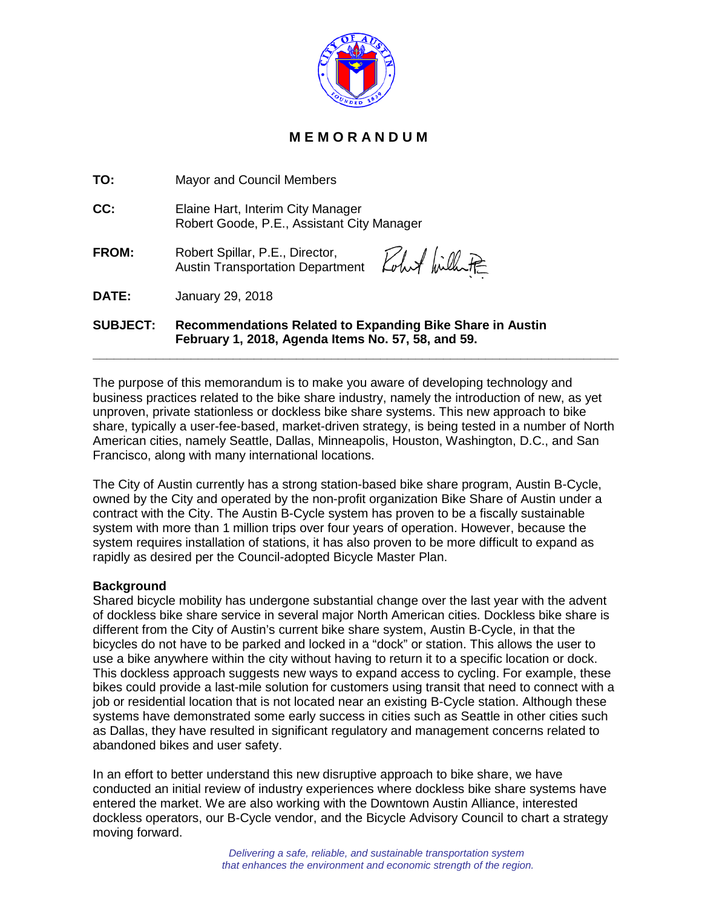

## **M E M O R A N D U M**

**TO:** Mayor and Council Members

**CC:** Elaine Hart, Interim City Manager Robert Goode, P.E., Assistant City Manager

**FROM:** Robert Spillar, P.E., Director, Austin Transportation Department

Rohot billet

**DATE:** January 29, 2018

**SUBJECT: Recommendations Related to Expanding Bike Share in Austin February 1, 2018, Agenda Items No. 57, 58, and 59.**

The purpose of this memorandum is to make you aware of developing technology and business practices related to the bike share industry, namely the introduction of new, as yet unproven, private stationless or dockless bike share systems. This new approach to bike share, typically a user-fee-based, market-driven strategy, is being tested in a number of North American cities, namely Seattle, Dallas, Minneapolis, Houston, Washington, D.C., and San Francisco, along with many international locations.

**\_\_\_\_\_\_\_\_\_\_\_\_\_\_\_\_\_\_\_\_\_\_\_\_\_\_\_\_\_\_\_\_\_\_\_\_\_\_\_\_\_\_\_\_\_\_\_\_\_\_\_\_\_\_\_\_\_\_\_\_\_\_\_\_\_\_\_\_\_\_\_\_\_\_\_**

The City of Austin currently has a strong station-based bike share program, Austin B-Cycle, owned by the City and operated by the non-profit organization Bike Share of Austin under a contract with the City. The Austin B-Cycle system has proven to be a fiscally sustainable system with more than 1 million trips over four years of operation. However, because the system requires installation of stations, it has also proven to be more difficult to expand as rapidly as desired per the Council-adopted Bicycle Master Plan.

## **Background**

Shared bicycle mobility has undergone substantial change over the last year with the advent of dockless bike share service in several major North American cities. Dockless bike share is different from the City of Austin's current bike share system, Austin B-Cycle, in that the bicycles do not have to be parked and locked in a "dock" or station. This allows the user to use a bike anywhere within the city without having to return it to a specific location or dock. This dockless approach suggests new ways to expand access to cycling. For example, these bikes could provide a last-mile solution for customers using transit that need to connect with a job or residential location that is not located near an existing B-Cycle station. Although these systems have demonstrated some early success in cities such as Seattle in other cities such as Dallas, they have resulted in significant regulatory and management concerns related to abandoned bikes and user safety.

In an effort to better understand this new disruptive approach to bike share, we have conducted an initial review of industry experiences where dockless bike share systems have entered the market. We are also working with the Downtown Austin Alliance, interested dockless operators, our B-Cycle vendor, and the Bicycle Advisory Council to chart a strategy moving forward.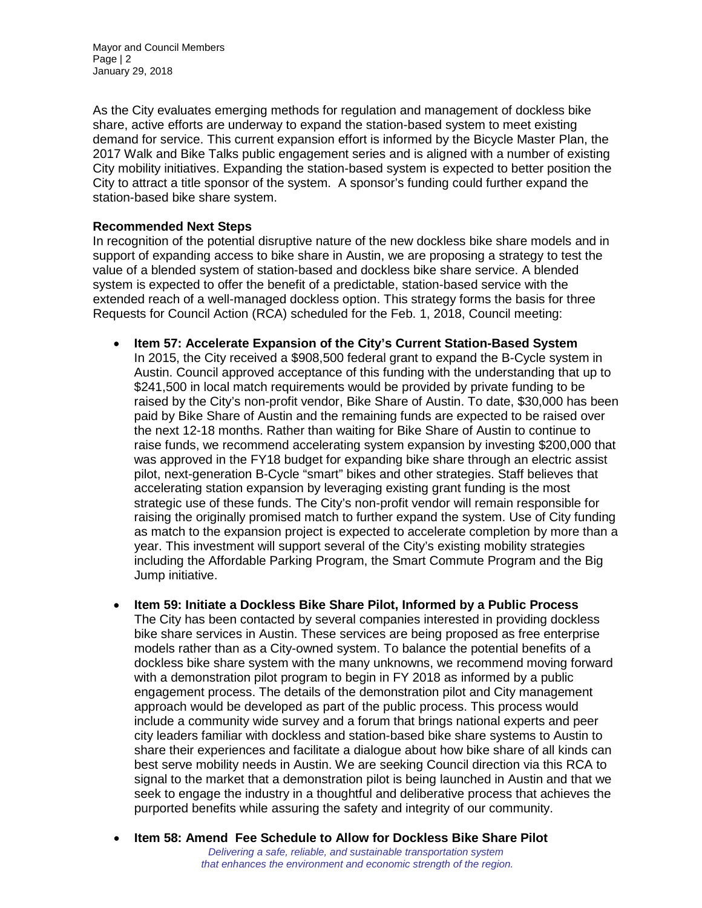As the City evaluates emerging methods for regulation and management of dockless bike share, active efforts are underway to expand the station-based system to meet existing demand for service. This current expansion effort is informed by the Bicycle Master Plan, the 2017 Walk and Bike Talks public engagement series and is aligned with a number of existing City mobility initiatives. Expanding the station-based system is expected to better position the City to attract a title sponsor of the system. A sponsor's funding could further expand the station-based bike share system.

## **Recommended Next Steps**

In recognition of the potential disruptive nature of the new dockless bike share models and in support of expanding access to bike share in Austin, we are proposing a strategy to test the value of a blended system of station-based and dockless bike share service. A blended system is expected to offer the benefit of a predictable, station-based service with the extended reach of a well-managed dockless option. This strategy forms the basis for three Requests for Council Action (RCA) scheduled for the Feb. 1, 2018, Council meeting:

- **Item 57: Accelerate Expansion of the City's Current Station-Based System** In 2015, the City received a \$908,500 federal grant to expand the B-Cycle system in Austin. Council approved acceptance of this funding with the understanding that up to \$241,500 in local match requirements would be provided by private funding to be raised by the City's non-profit vendor, Bike Share of Austin. To date, \$30,000 has been paid by Bike Share of Austin and the remaining funds are expected to be raised over the next 12-18 months. Rather than waiting for Bike Share of Austin to continue to raise funds, we recommend accelerating system expansion by investing \$200,000 that was approved in the FY18 budget for expanding bike share through an electric assist pilot, next-generation B-Cycle "smart" bikes and other strategies. Staff believes that accelerating station expansion by leveraging existing grant funding is the most strategic use of these funds. The City's non-profit vendor will remain responsible for raising the originally promised match to further expand the system. Use of City funding as match to the expansion project is expected to accelerate completion by more than a year. This investment will support several of the City's existing mobility strategies including the Affordable Parking Program, the Smart Commute Program and the Big Jump initiative.
- **Item 59: Initiate a Dockless Bike Share Pilot, Informed by a Public Process** The City has been contacted by several companies interested in providing dockless bike share services in Austin. These services are being proposed as free enterprise models rather than as a City-owned system. To balance the potential benefits of a dockless bike share system with the many unknowns, we recommend moving forward with a demonstration pilot program to begin in FY 2018 as informed by a public engagement process. The details of the demonstration pilot and City management approach would be developed as part of the public process. This process would include a community wide survey and a forum that brings national experts and peer city leaders familiar with dockless and station-based bike share systems to Austin to share their experiences and facilitate a dialogue about how bike share of all kinds can best serve mobility needs in Austin. We are seeking Council direction via this RCA to signal to the market that a demonstration pilot is being launched in Austin and that we seek to engage the industry in a thoughtful and deliberative process that achieves the purported benefits while assuring the safety and integrity of our community.
- **Item 58: Amend Fee Schedule to Allow for Dockless Bike Share Pilot** *Delivering a safe, reliable, and sustainable transportation system that enhances the environment and economic strength of the region.*